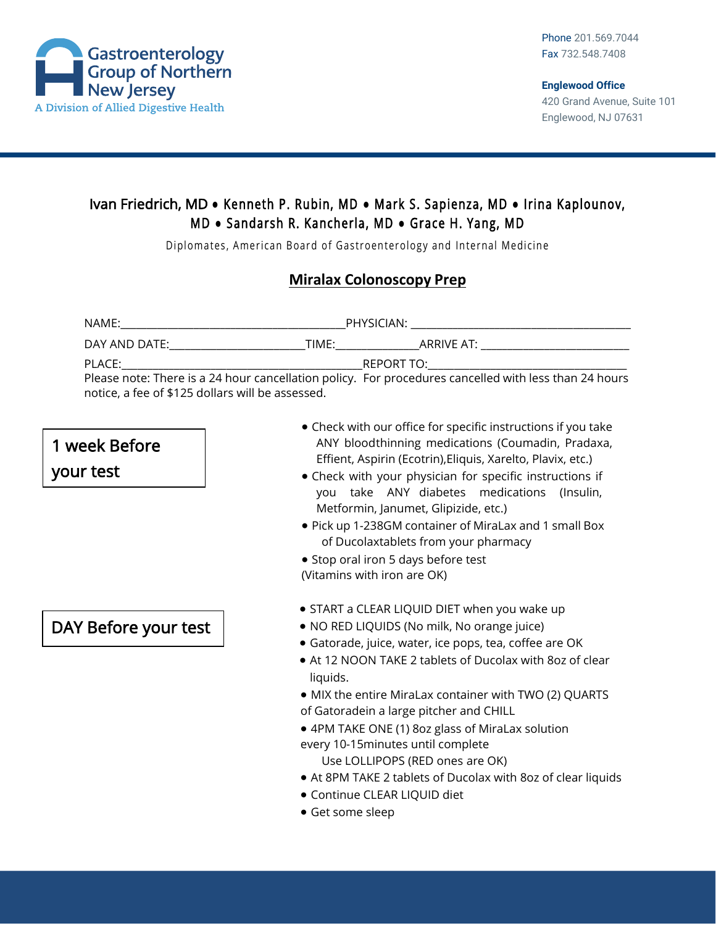

### Ivan Friedrich, MD **●** Kenneth P. Rubin, MD **●** Mark S. Sapienza, MD **●** Irina Kaplounov, M D **●** Sandarsh R. Kancherla, MD **●** Grace H. Yang, MD

Diplomates, American Board of Gastroenterology and Internal Medicine

#### **Miralax Colonoscopy Prep**

| NAME:                                                                                                 | PHYSICIAN: |            |
|-------------------------------------------------------------------------------------------------------|------------|------------|
| DAY AND DATE:<br>TIME:                                                                                |            | ARRIVE AT: |
| PLACE:                                                                                                | REPORT TO: |            |
| Please note: There is a 24 hour cancellation policy. For procedures cancelled with less than 24 hours |            |            |
| notice, a fee of \$125 dollars will be assessed.                                                      |            |            |

# 1 week Before

your test

## DAY Before your test

- Check with our office for specific instructions if you take ANY bloodthinning medications (Coumadin, Pradaxa, Effient, Aspirin (Ecotrin),Eliquis, Xarelto, Plavix, etc.)
- Check with your physician for specific instructions if you take ANY diabetes medications (Insulin, Metformin, Janumet, Glipizide, etc.)
- Pick up 1-238GM container of MiraLax and 1 small Box of Ducolaxtablets from your pharmacy
- Stop oral iron 5 days before test (Vitamins with iron are OK)
- START a CLEAR LIQUID DIET when you wake up
- NO RED LIQUIDS (No milk, No orange juice)
- Gatorade, juice, water, ice pops, tea, coffee are OK
- At 12 NOON TAKE 2 tablets of Ducolax with 8oz of clear liquids.
- MIX the entire MiraLax container with TWO (2) QUARTS of Gatoradein a large pitcher and CHILL
- 4PM TAKE ONE (1) 8oz glass of MiraLax solution every 10-15minutes until complete

Use LOLLIPOPS (RED ones are OK)

- At 8PM TAKE 2 tablets of Ducolax with 8oz of clear liquids
- Continue CLEAR LIQUID diet
- Get some sleep